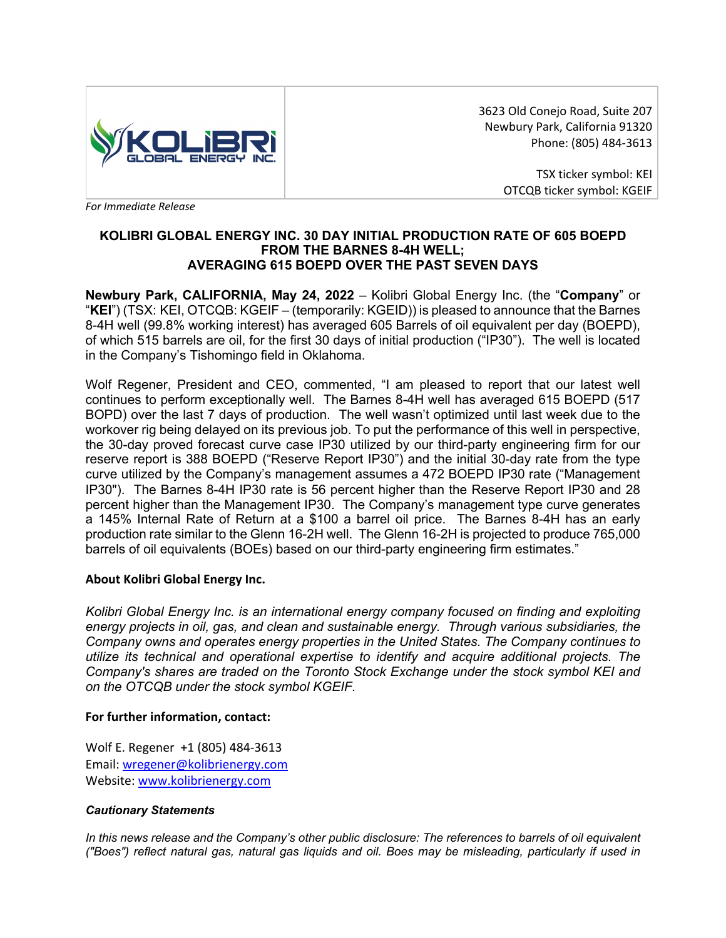

3623 Old Conejo Road, Suite 207 Newbury Park, California 91320 Phone: (805) 484-3613

> TSX ticker symbol: KEI OTCQB ticker symbol: KGEIF

*For Immediate Release* 

### **KOLIBRI GLOBAL ENERGY INC. 30 DAY INITIAL PRODUCTION RATE OF 605 BOEPD FROM THE BARNES 8-4H WELL; AVERAGING 615 BOEPD OVER THE PAST SEVEN DAYS**

**Newbury Park, CALIFORNIA, May 24, 2022** – Kolibri Global Energy Inc. (the "**Company**" or "**KEI**") (TSX: KEI, OTCQB: KGEIF – (temporarily: KGEID)) is pleased to announce that the Barnes 8-4H well (99.8% working interest) has averaged 605 Barrels of oil equivalent per day (BOEPD), of which 515 barrels are oil, for the first 30 days of initial production ("IP30"). The well is located in the Company's Tishomingo field in Oklahoma.

Wolf Regener, President and CEO, commented, "I am pleased to report that our latest well continues to perform exceptionally well. The Barnes 8-4H well has averaged 615 BOEPD (517 BOPD) over the last 7 days of production. The well wasn't optimized until last week due to the workover rig being delayed on its previous job. To put the performance of this well in perspective, the 30-day proved forecast curve case IP30 utilized by our third-party engineering firm for our reserve report is 388 BOEPD ("Reserve Report IP30") and the initial 30-day rate from the type curve utilized by the Company's management assumes a 472 BOEPD IP30 rate ("Management IP30"). The Barnes 8-4H IP30 rate is 56 percent higher than the Reserve Report IP30 and 28 percent higher than the Management IP30. The Company's management type curve generates a 145% Internal Rate of Return at a \$100 a barrel oil price. The Barnes 8-4H has an early production rate similar to the Glenn 16-2H well. The Glenn 16-2H is projected to produce 765,000 barrels of oil equivalents (BOEs) based on our third-party engineering firm estimates."

# **About Kolibri Global Energy Inc.**

*Kolibri Global Energy Inc. is an international energy company focused on finding and exploiting energy projects in oil, gas, and clean and sustainable energy. Through various subsidiaries, the Company owns and operates energy properties in the United States. The Company continues to utilize its technical and operational expertise to identify and acquire additional projects. The Company's shares are traded on the Toronto Stock Exchange under the stock symbol KEI and on the OTCQB under the stock symbol KGEIF.*

# **For further information, contact:**

Wolf E. Regener +1 (805) 484-3613 Email: wregener@kolibrienergy.com Website: www.kolibrienergy.com

#### *Cautionary Statements*

*In this news release and the Company's other public disclosure: The references to barrels of oil equivalent ("Boes") reflect natural gas, natural gas liquids and oil. Boes may be misleading, particularly if used in*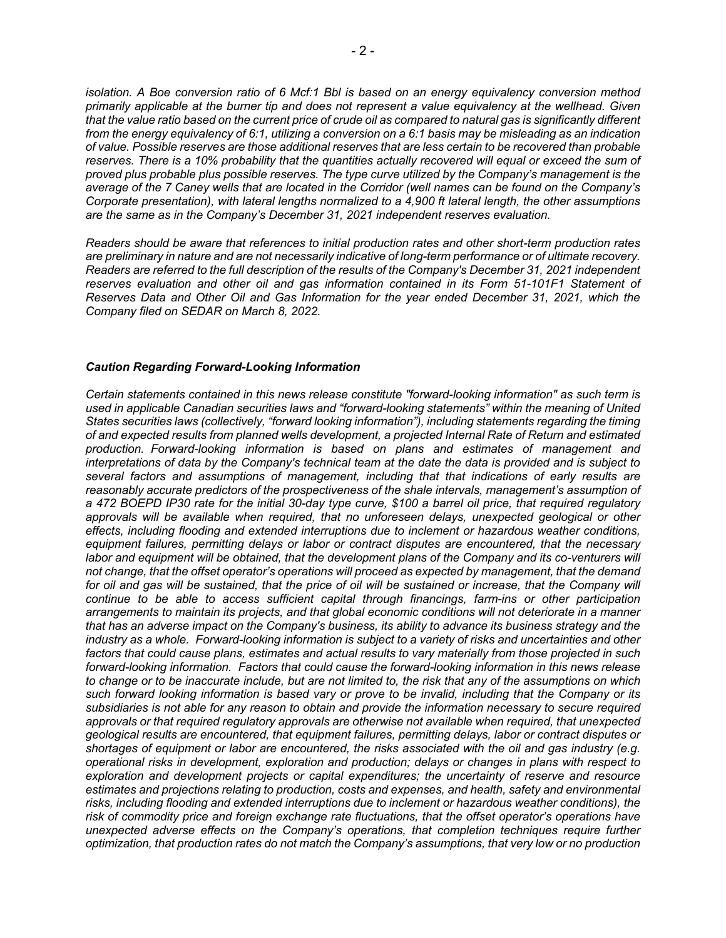*isolation. A Boe conversion ratio of 6 Mcf:1 Bbl is based on an energy equivalency conversion method primarily applicable at the burner tip and does not represent a value equivalency at the wellhead. Given that the value ratio based on the current price of crude oil as compared to natural gas is significantly different from the energy equivalency of 6:1, utilizing a conversion on a 6:1 basis may be misleading as an indication of value. Possible reserves are those additional reserves that are less certain to be recovered than probable reserves. There is a 10% probability that the quantities actually recovered will equal or exceed the sum of proved plus probable plus possible reserves. The type curve utilized by the Company's management is the average of the 7 Caney wells that are located in the Corridor (well names can be found on the Company's Corporate presentation), with lateral lengths normalized to a 4,900 ft lateral length, the other assumptions are the same as in the Company's December 31, 2021 independent reserves evaluation.*

*Readers should be aware that references to initial production rates and other short-term production rates are preliminary in nature and are not necessarily indicative of long-term performance or of ultimate recovery. Readers are referred to the full description of the results of the Company's December 31, 2021 independent*  reserves evaluation and other oil and gas information contained in its Form 51-101F1 Statement of *Reserves Data and Other Oil and Gas Information for the year ended December 31, 2021, which the Company filed on SEDAR on March 8, 2022.*

#### *Caution Regarding Forward-Looking Information*

*Certain statements contained in this news release constitute "forward-looking information" as such term is used in applicable Canadian securities laws and "forward-looking statements" within the meaning of United States securities laws (collectively, "forward looking information"), including statements regarding the timing of and expected results from planned wells development, a projected Internal Rate of Return and estimated production. Forward-looking information is based on plans and estimates of management and interpretations of data by the Company's technical team at the date the data is provided and is subject to several factors and assumptions of management, including that that indications of early results are reasonably accurate predictors of the prospectiveness of the shale intervals, management's assumption of a 472 BOEPD IP30 rate for the initial 30-day type curve, \$100 a barrel oil price, that required regulatory approvals will be available when required, that no unforeseen delays, unexpected geological or other effects, including flooding and extended interruptions due to inclement or hazardous weather conditions, equipment failures, permitting delays or labor or contract disputes are encountered, that the necessary labor and equipment will be obtained, that the development plans of the Company and its co-venturers will not change, that the offset operator's operations will proceed as expected by management, that the demand*  for oil and gas will be sustained, that the price of oil will be sustained or increase, that the Company will *continue to be able to access sufficient capital through financings, farm-ins or other participation arrangements to maintain its projects, and that global economic conditions will not deteriorate in a manner that has an adverse impact on the Company's business, its ability to advance its business strategy and the industry as a whole. Forward-looking information is subject to a variety of risks and uncertainties and other factors that could cause plans, estimates and actual results to vary materially from those projected in such forward-looking information. Factors that could cause the forward-looking information in this news release to change or to be inaccurate include, but are not limited to, the risk that any of the assumptions on which such forward looking information is based vary or prove to be invalid, including that the Company or its subsidiaries is not able for any reason to obtain and provide the information necessary to secure required approvals or that required regulatory approvals are otherwise not available when required, that unexpected geological results are encountered, that equipment failures, permitting delays, labor or contract disputes or shortages of equipment or labor are encountered, the risks associated with the oil and gas industry (e.g. operational risks in development, exploration and production; delays or changes in plans with respect to exploration and development projects or capital expenditures; the uncertainty of reserve and resource estimates and projections relating to production, costs and expenses, and health, safety and environmental risks, including flooding and extended interruptions due to inclement or hazardous weather conditions), the risk of commodity price and foreign exchange rate fluctuations, that the offset operator's operations have unexpected adverse effects on the Company's operations, that completion techniques require further optimization, that production rates do not match the Company's assumptions, that very low or no production*